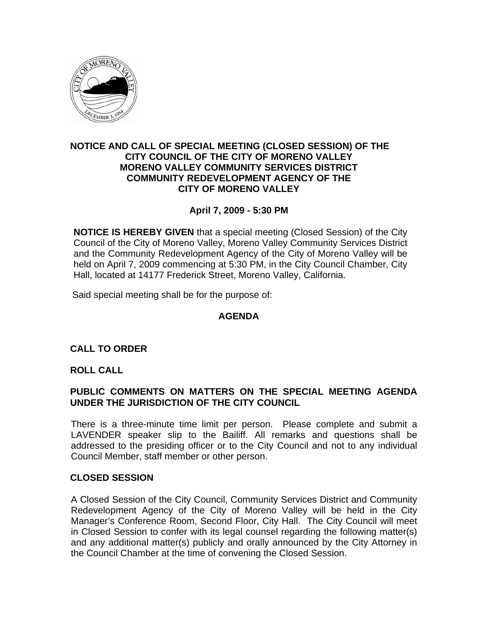

## **NOTICE AND CALL OF SPECIAL MEETING (CLOSED SESSION) OF THE CITY COUNCIL OF THE CITY OF MORENO VALLEY MORENO VALLEY COMMUNITY SERVICES DISTRICT COMMUNITY REDEVELOPMENT AGENCY OF THE CITY OF MORENO VALLEY**

# **April 7, 2009 - 5:30 PM**

**NOTICE IS HEREBY GIVEN** that a special meeting (Closed Session) of the City Council of the City of Moreno Valley, Moreno Valley Community Services District and the Community Redevelopment Agency of the City of Moreno Valley will be held on April 7, 2009 commencing at 5:30 PM, in the City Council Chamber, City Hall, located at 14177 Frederick Street, Moreno Valley, California.

Said special meeting shall be for the purpose of:

## **AGENDA**

## **CALL TO ORDER**

### **ROLL CALL**

## **PUBLIC COMMENTS ON MATTERS ON THE SPECIAL MEETING AGENDA UNDER THE JURISDICTION OF THE CITY COUNCIL**

There is a three-minute time limit per person. Please complete and submit a LAVENDER speaker slip to the Bailiff. All remarks and questions shall be addressed to the presiding officer or to the City Council and not to any individual Council Member, staff member or other person.

### **CLOSED SESSION**

A Closed Session of the City Council, Community Services District and Community Redevelopment Agency of the City of Moreno Valley will be held in the City Manager's Conference Room, Second Floor, City Hall. The City Council will meet in Closed Session to confer with its legal counsel regarding the following matter(s) and any additional matter(s) publicly and orally announced by the City Attorney in the Council Chamber at the time of convening the Closed Session.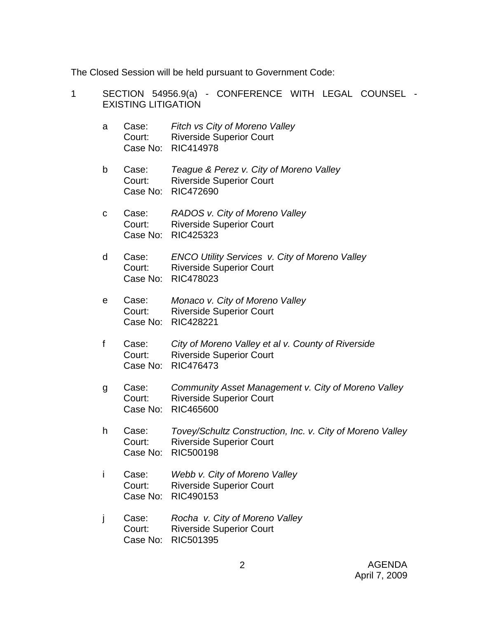The Closed Session will be held pursuant to Government Code:

| 1 | SECTION 54956.9(a) - CONFERENCE WITH LEGAL COUNSEL<br><b>EXISTING LITIGATION</b> |                             |                                                                                                           |
|---|----------------------------------------------------------------------------------|-----------------------------|-----------------------------------------------------------------------------------------------------------|
|   | a                                                                                | Case:<br>Court:<br>Case No: | Fitch vs City of Moreno Valley<br><b>Riverside Superior Court</b><br>RIC414978                            |
|   | b                                                                                | Case:<br>Court:<br>Case No: | Teague & Perez v. City of Moreno Valley<br><b>Riverside Superior Court</b><br>RIC472690                   |
|   | С                                                                                | Case:<br>Court:<br>Case No: | RADOS v. City of Moreno Valley<br><b>Riverside Superior Court</b><br>RIC425323                            |
|   | d                                                                                | Case:<br>Court:<br>Case No: | ENCO Utility Services v. City of Moreno Valley<br><b>Riverside Superior Court</b><br>RIC478023            |
|   | е                                                                                | Case:<br>Court:<br>Case No: | Monaco v. City of Moreno Valley<br><b>Riverside Superior Court</b><br>RIC428221                           |
|   | $\mathsf f$                                                                      | Case:<br>Court:<br>Case No: | City of Moreno Valley et al v. County of Riverside<br><b>Riverside Superior Court</b><br>RIC476473        |
|   | g                                                                                | Case:<br>Court:<br>Case No: | Community Asset Management v. City of Moreno Valley<br><b>Riverside Superior Court</b><br>RIC465600       |
|   | h                                                                                | Case:<br>Court:<br>Case No: | Tovey/Schultz Construction, Inc. v. City of Moreno Valley<br><b>Riverside Superior Court</b><br>RIC500198 |
|   | i                                                                                | Case:<br>Court:<br>Case No: | Webb v. City of Moreno Valley<br><b>Riverside Superior Court</b><br>RIC490153                             |
|   | j                                                                                | Case:<br>Court:<br>Case No: | Rocha v. City of Moreno Valley<br><b>Riverside Superior Court</b><br>RIC501395                            |
|   |                                                                                  |                             |                                                                                                           |